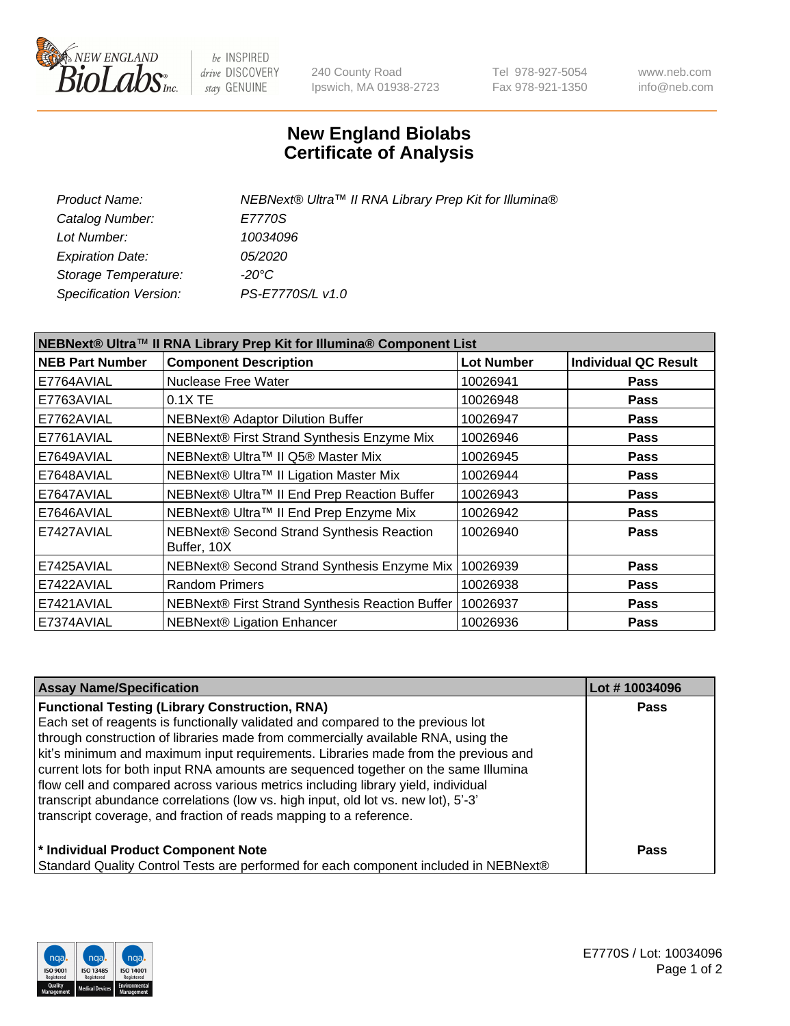

be INSPIRED drive DISCOVERY stay GENUINE

240 County Road Ipswich, MA 01938-2723 Tel 978-927-5054 Fax 978-921-1350 www.neb.com info@neb.com

## **New England Biolabs Certificate of Analysis**

| NEBNext® Ultra™ II RNA Library Prep Kit for Illumina® |
|-------------------------------------------------------|
| E7770S                                                |
| 10034096                                              |
| <i>05/2020</i>                                        |
| -20°C                                                 |
| PS-E7770S/L v1.0                                      |
|                                                       |

| NEBNext® Ultra™ II RNA Library Prep Kit for Illumina® Component List |                                                            |                   |                             |  |
|----------------------------------------------------------------------|------------------------------------------------------------|-------------------|-----------------------------|--|
| <b>NEB Part Number</b>                                               | <b>Component Description</b>                               | <b>Lot Number</b> | <b>Individual QC Result</b> |  |
| E7764AVIAL                                                           | Nuclease Free Water                                        | 10026941          | <b>Pass</b>                 |  |
| E7763AVIAL                                                           | 0.1X TE                                                    | 10026948          | <b>Pass</b>                 |  |
| E7762AVIAL                                                           | <b>NEBNext® Adaptor Dilution Buffer</b>                    | 10026947          | <b>Pass</b>                 |  |
| E7761AVIAL                                                           | NEBNext® First Strand Synthesis Enzyme Mix                 | 10026946          | <b>Pass</b>                 |  |
| E7649AVIAL                                                           | NEBNext® Ultra™ II Q5® Master Mix                          | 10026945          | <b>Pass</b>                 |  |
| E7648AVIAL                                                           | NEBNext® Ultra™ II Ligation Master Mix                     | 10026944          | <b>Pass</b>                 |  |
| E7647AVIAL                                                           | NEBNext® Ultra™ II End Prep Reaction Buffer                | 10026943          | <b>Pass</b>                 |  |
| E7646AVIAL                                                           | NEBNext® Ultra™ II End Prep Enzyme Mix                     | 10026942          | <b>Pass</b>                 |  |
| E7427AVIAL                                                           | NEBNext® Second Strand Synthesis Reaction<br>Buffer, 10X   | 10026940          | <b>Pass</b>                 |  |
| E7425AVIAL                                                           | NEBNext® Second Strand Synthesis Enzyme Mix                | 10026939          | <b>Pass</b>                 |  |
| E7422AVIAL                                                           | <b>Random Primers</b>                                      | 10026938          | <b>Pass</b>                 |  |
| E7421AVIAL                                                           | NEBNext® First Strand Synthesis Reaction Buffer   10026937 |                   | <b>Pass</b>                 |  |
| E7374AVIAL                                                           | NEBNext® Ligation Enhancer                                 | 10026936          | <b>Pass</b>                 |  |

| <b>Assay Name/Specification</b>                                                      | Lot #10034096 |
|--------------------------------------------------------------------------------------|---------------|
| <b>Functional Testing (Library Construction, RNA)</b>                                | <b>Pass</b>   |
| Each set of reagents is functionally validated and compared to the previous lot      |               |
| through construction of libraries made from commercially available RNA, using the    |               |
| kit's minimum and maximum input requirements. Libraries made from the previous and   |               |
| current lots for both input RNA amounts are sequenced together on the same Illumina  |               |
| flow cell and compared across various metrics including library yield, individual    |               |
| transcript abundance correlations (low vs. high input, old lot vs. new lot), 5'-3'   |               |
| transcript coverage, and fraction of reads mapping to a reference.                   |               |
| * Individual Product Component Note                                                  | Pass          |
| Standard Quality Control Tests are performed for each component included in NEBNext® |               |